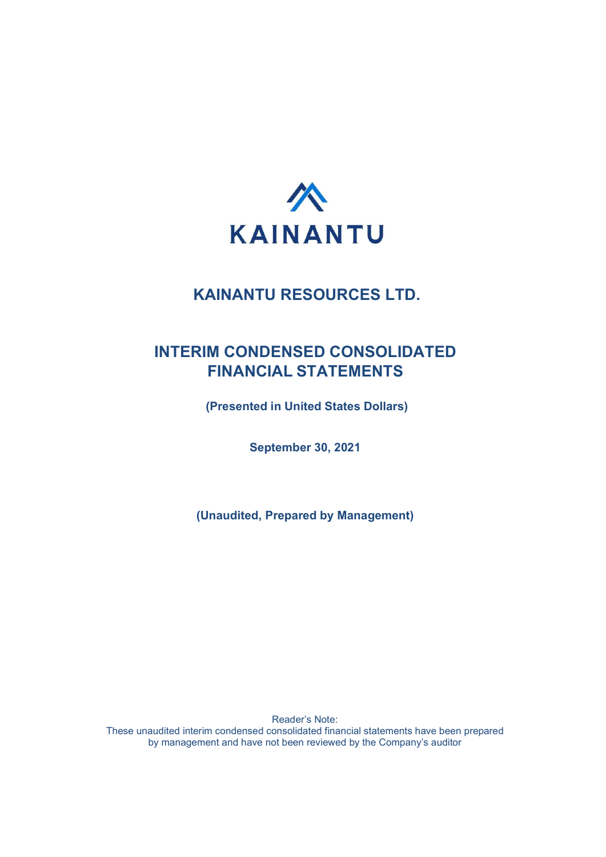

## INTERIM CONDENSED CONSOLIDATED FINANCIAL STATEMENTS

(Presented in United States Dollars)

September 30, 2021

(Unaudited, Prepared by Management)

Reader's Note: These unaudited interim condensed consolidated financial statements have been prepared by management and have not been reviewed by the Company's auditor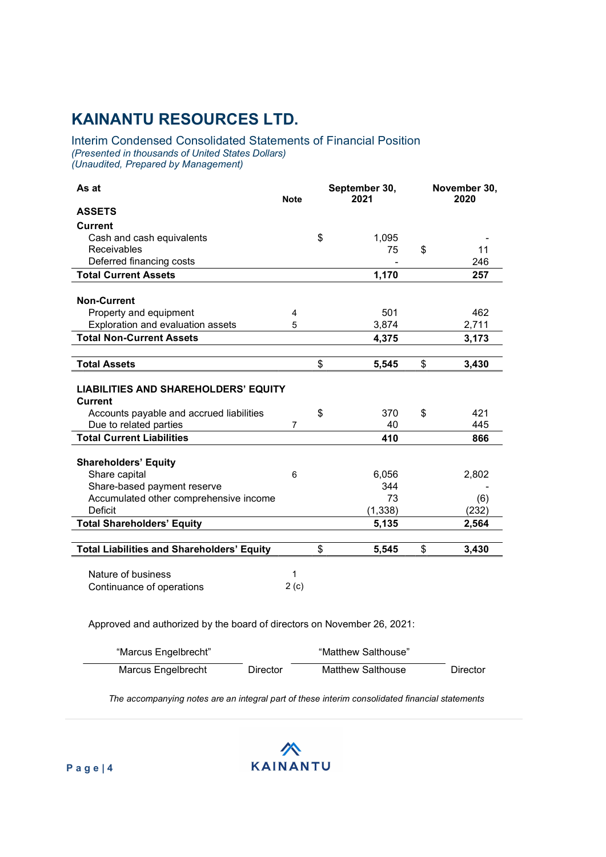#### Interim Condensed Consolidated Statements of Financial Position (Presented in thousands of United States Dollars) (Unaudited, Prepared by Management)

| As at                                                         | <b>Note</b>    |    | September 30,<br>2021 | November 30,<br>2020 |       |
|---------------------------------------------------------------|----------------|----|-----------------------|----------------------|-------|
| <b>ASSETS</b>                                                 |                |    |                       |                      |       |
| <b>Current</b>                                                |                |    |                       |                      |       |
| Cash and cash equivalents                                     |                | \$ | 1,095                 |                      |       |
| Receivables                                                   |                |    | 75                    | \$                   | 11    |
| Deferred financing costs                                      |                |    |                       |                      | 246   |
| <b>Total Current Assets</b>                                   |                |    | 1,170                 |                      | 257   |
|                                                               |                |    |                       |                      |       |
| <b>Non-Current</b>                                            |                |    |                       |                      |       |
| Property and equipment                                        | 4              |    | 501                   |                      | 462   |
| Exploration and evaluation assets                             | 5              |    | 3,874                 |                      | 2,711 |
| <b>Total Non-Current Assets</b>                               |                |    | 4,375                 |                      | 3,173 |
|                                                               |                |    |                       |                      |       |
| <b>Total Assets</b>                                           |                | \$ | 5,545                 | \$                   | 3,430 |
| <b>LIABILITIES AND SHAREHOLDERS' EQUITY</b><br><b>Current</b> |                |    |                       |                      |       |
| Accounts payable and accrued liabilities                      |                | \$ | 370                   | \$                   | 421   |
| Due to related parties                                        | $\overline{7}$ |    | 40                    |                      | 445   |
| <b>Total Current Liabilities</b>                              |                |    | 410                   |                      | 866   |
| <b>Shareholders' Equity</b>                                   |                |    |                       |                      |       |
| Share capital                                                 | 6              |    | 6,056                 |                      | 2,802 |
| Share-based payment reserve                                   |                |    | 344                   |                      |       |
| Accumulated other comprehensive income                        |                |    | 73                    |                      | (6)   |
| <b>Deficit</b>                                                |                |    | (1, 338)              |                      | (232) |
| <b>Total Shareholders' Equity</b>                             |                |    | 5,135                 |                      | 2,564 |
|                                                               |                |    |                       |                      |       |
| <b>Total Liabilities and Shareholders' Equity</b>             |                | \$ | 5,545                 | \$                   | 3,430 |
| Nature of business<br>Continuance of operations               | 1<br>2(c)      |    |                       |                      |       |

Approved and authorized by the board of directors on November 26, 2021:

| "Marcus Engelbrecht" |          | "Matthew Salthouse" |                 |
|----------------------|----------|---------------------|-----------------|
| Marcus Engelbrecht   | Director | Matthew Salthouse   | <b>Director</b> |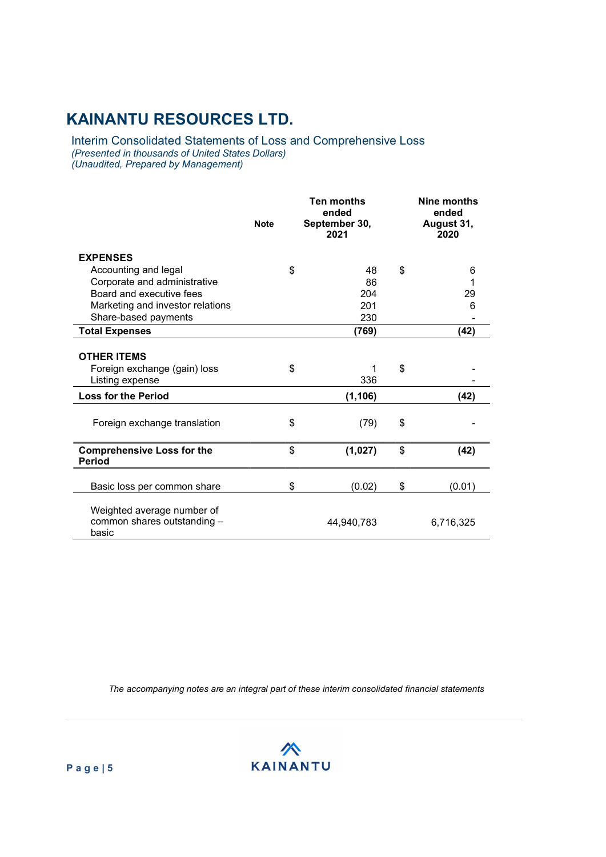Interim Consolidated Statements of Loss and Comprehensive Loss (Presented in thousands of United States Dollars) (Unaudited, Prepared by Management)

|                                                                       | <b>Note</b> | Ten months<br>ended<br>September 30,<br>2021 |    | Nine months<br>ended<br>August 31,<br>2020 |
|-----------------------------------------------------------------------|-------------|----------------------------------------------|----|--------------------------------------------|
| <b>EXPENSES</b>                                                       |             |                                              |    |                                            |
| Accounting and legal                                                  | \$          | 48                                           | \$ | 6                                          |
| Corporate and administrative                                          |             | 86                                           |    |                                            |
| Board and executive fees                                              |             | 204                                          |    | 29                                         |
| Marketing and investor relations                                      |             | 201                                          |    | 6                                          |
| Share-based payments                                                  |             | 230                                          |    |                                            |
| <b>Total Expenses</b>                                                 |             | (769)                                        |    | (42)                                       |
| <b>OTHER ITEMS</b><br>Foreign exchange (gain) loss<br>Listing expense | \$          | 1<br>336                                     | \$ |                                            |
| <b>Loss for the Period</b>                                            |             | (1, 106)                                     |    | (42)                                       |
| Foreign exchange translation                                          | \$          | (79)                                         | \$ |                                            |
| <b>Comprehensive Loss for the</b><br><b>Period</b>                    | \$          | (1,027)                                      | \$ | (42)                                       |
| Basic loss per common share                                           | \$          | (0.02)                                       | \$ | (0.01)                                     |
| Weighted average number of<br>common shares outstanding -<br>basic    |             | 44,940,783                                   |    | 6,716,325                                  |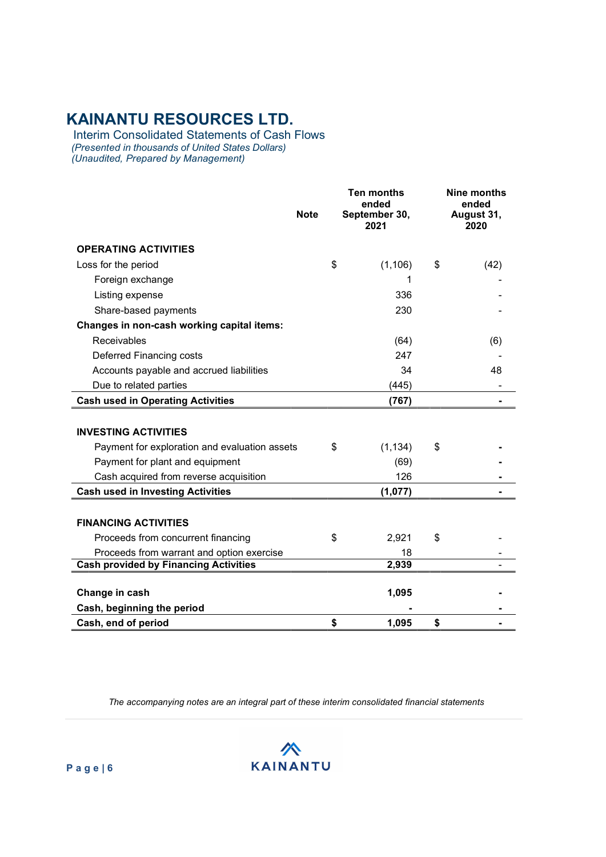Interim Consolidated Statements of Cash Flows (Presented in thousands of United States Dollars) (Unaudited, Prepared by Management)

|                                               | <b>Note</b> | <b>Ten months</b><br>ended<br>September 30,<br>2021 |    | <b>Nine months</b><br>ended<br>August 31,<br>2020 |
|-----------------------------------------------|-------------|-----------------------------------------------------|----|---------------------------------------------------|
| <b>OPERATING ACTIVITIES</b>                   |             |                                                     |    |                                                   |
| Loss for the period                           | \$          | (1, 106)                                            | \$ | (42)                                              |
| Foreign exchange                              |             | 1                                                   |    |                                                   |
| Listing expense                               |             | 336                                                 |    |                                                   |
| Share-based payments                          |             | 230                                                 |    |                                                   |
| Changes in non-cash working capital items:    |             |                                                     |    |                                                   |
| Receivables                                   |             | (64)                                                |    | (6)                                               |
| Deferred Financing costs                      |             | 247                                                 |    |                                                   |
| Accounts payable and accrued liabilities      |             | 34                                                  |    | 48                                                |
| Due to related parties                        |             | (445)                                               |    |                                                   |
| <b>Cash used in Operating Activities</b>      |             | (767)                                               |    |                                                   |
| <b>INVESTING ACTIVITIES</b>                   |             |                                                     |    |                                                   |
| Payment for exploration and evaluation assets | \$          | (1, 134)                                            | \$ |                                                   |
| Payment for plant and equipment               |             | (69)                                                |    |                                                   |
| Cash acquired from reverse acquisition        |             | 126                                                 |    |                                                   |
| <b>Cash used in Investing Activities</b>      |             | (1,077)                                             |    |                                                   |
| <b>FINANCING ACTIVITIES</b>                   |             |                                                     |    |                                                   |
| Proceeds from concurrent financing            | \$          | 2,921                                               | \$ |                                                   |
| Proceeds from warrant and option exercise     |             | 18                                                  |    |                                                   |
| <b>Cash provided by Financing Activities</b>  |             | 2,939                                               |    |                                                   |
| Change in cash                                |             | 1,095                                               |    |                                                   |
| Cash, beginning the period                    |             |                                                     |    |                                                   |
| Cash, end of period                           | \$          | 1,095                                               | \$ |                                                   |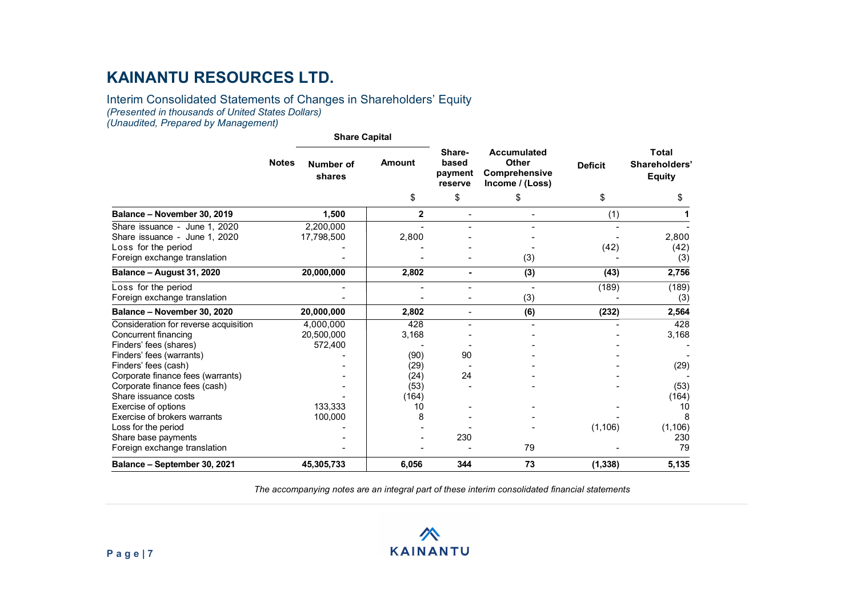#### Interim Consolidated Statements of Changes in Shareholders' Equity (Presented in thousands of United States Dollars) (Unaudited, Prepared by Management)

#### Share Capital Notes Number of shares Amount based Other Sharebased payment reserve Accumulated Deficit Comprehensive Income / (Loss) Deficit Shareholders' Total Equity  $\texttt{\$} \texttt{\$} \texttt{\$} \texttt{\$} \texttt{\$} \texttt{\$} \texttt{\$} \texttt{\$} \texttt{\$} \texttt{\$} \texttt{\$} \texttt{\$} \texttt{\$} \texttt{\$} \texttt{\$} \texttt{\$} \texttt{\$} \texttt{\$} \texttt{\$} \texttt{\$} \texttt{\$} \texttt{\$} \texttt{\$} \texttt{\$} \texttt{\$} \texttt{\$} \texttt{\$} \texttt{\$} \texttt{\$} \texttt{\$} \texttt{\$} \texttt{\$} \texttt{\$} \texttt{\$} \texttt{\$} \texttt{\$} \texttt{\$ Balance – November 30, 2019 1,500 2 - - (1) 1 Share issuance - June 1, 2020 2,200,000 - - - - - Share issuance - June 1, 2020 17,798,500 <br>
Loss for the period (42) (42) (42) (42) Loss for the period  $\hspace{1.5cm}$  -  $\hspace{1.5cm}$  -  $\hspace{1.5cm}$  -  $\hspace{1.5cm}$  -  $\hspace{1.5cm}$   $\hspace{1.5cm}$   $\hspace{1.5cm}$   $\hspace{1.5cm}$   $\hspace{1.5cm}$   $\hspace{1.5cm}$   $\hspace{1.5cm}$   $\hspace{1.5cm}$   $\hspace{1.5cm}$   $\hspace{1.5cm}$   $\hspace{1.5cm}$   $\hspace{1.5cm}$  Foreign exchange translation and the set of the set of the set of the set of the set of the set of the set of the set of the set of the set of the set of the set of the set of the set of the set of the set of the set of th Balance – August 31, 2020 20,000,000 2,802 - (3) (43) 2,756 Loss for the period (189) (189) (189) (189) (189) (189) (189) Foreign exchange translation and the set of the set of the set of the set of the set of the set of the set of the set of the set of the set of the set of the set of the set of the set of the set of the set of the set of th Balance – November 30, 2020 20,000,000 2,802 - (6) (232) 2,564 Consideration for reverse acquisition  $\begin{array}{ccc} 4,000,000 & 428 & - & - & - & - & 428 \\ 20.500.000 & 3.168 & - & - & - & - & 3.168 \end{array}$ Concurrent financing 20,500,000 3,168 - - - 3,168 Finders' fees (shares) 572,400 - - - - - Finders' fees (warrants) - (90) 90 - - - Finders' fees (cash)  $(29)$ Corporate finance fees (warrants) - (24) 24 - - - Corporate finance fees (cash)  $(53)$  -Share issuance costs (164) (164) (164) Exercise of options 133,333 | 133,333 | 133,333 | 133,333 | 133,333 | 133,938 | 10 Exercise of brokers warrants 100,000 8 - - - 8 Loss for the period - - - - (1,106) (1,106) Share base payments Foreign exchange translation and the state of the state of the state of the state of the state of the state of the state of the state of the state of the state of the state of the state of the state of the state of the sta Balance – September 30, 2021 45,305,733 (6,056 344 73 (1,338) 5,135

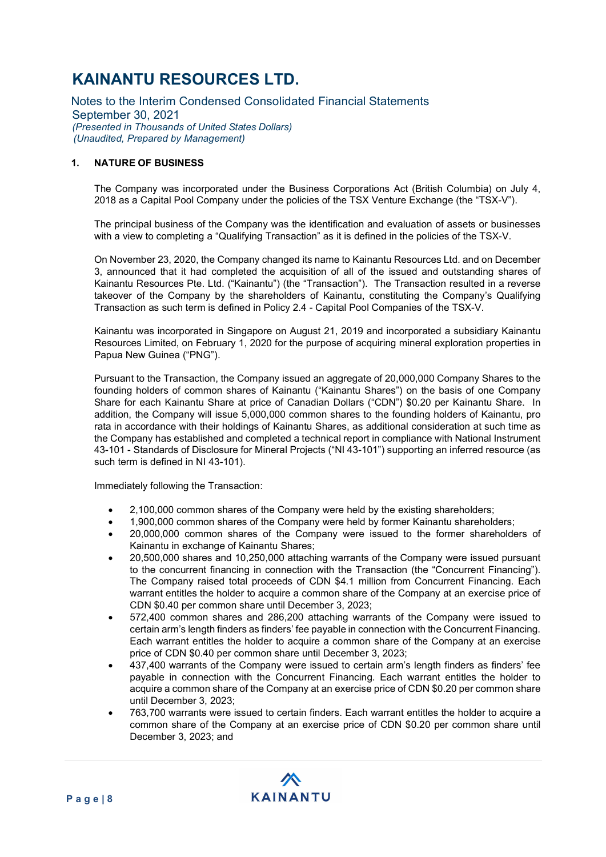Notes to the Interim Condensed Consolidated Financial Statements September 30, 2021 (Presented in Thousands of United States Dollars) (Unaudited, Prepared by Management)

### 1. NATURE OF BUSINESS

The Company was incorporated under the Business Corporations Act (British Columbia) on July 4, 2018 as a Capital Pool Company under the policies of the TSX Venture Exchange (the "TSX-V").

The principal business of the Company was the identification and evaluation of assets or businesses with a view to completing a "Qualifying Transaction" as it is defined in the policies of the TSX-V.

On November 23, 2020, the Company changed its name to Kainantu Resources Ltd. and on December 3, announced that it had completed the acquisition of all of the issued and outstanding shares of Kainantu Resources Pte. Ltd. ("Kainantu") (the "Transaction"). The Transaction resulted in a reverse takeover of the Company by the shareholders of Kainantu, constituting the Company's Qualifying Transaction as such term is defined in Policy 2.4 - Capital Pool Companies of the TSX-V.

Kainantu was incorporated in Singapore on August 21, 2019 and incorporated a subsidiary Kainantu Resources Limited, on February 1, 2020 for the purpose of acquiring mineral exploration properties in Papua New Guinea ("PNG").

Pursuant to the Transaction, the Company issued an aggregate of 20,000,000 Company Shares to the founding holders of common shares of Kainantu ("Kainantu Shares") on the basis of one Company Share for each Kainantu Share at price of Canadian Dollars ("CDN") \$0.20 per Kainantu Share. In addition, the Company will issue 5,000,000 common shares to the founding holders of Kainantu, pro rata in accordance with their holdings of Kainantu Shares, as additional consideration at such time as the Company has established and completed a technical report in compliance with National Instrument 43-101 - Standards of Disclosure for Mineral Projects ("NI 43-101") supporting an inferred resource (as such term is defined in NI 43-101).

Immediately following the Transaction:

- 2,100,000 common shares of the Company were held by the existing shareholders;
- 1,900,000 common shares of the Company were held by former Kainantu shareholders;
- 20,000,000 common shares of the Company were issued to the former shareholders of Kainantu in exchange of Kainantu Shares;
- 20,500,000 shares and 10,250,000 attaching warrants of the Company were issued pursuant to the concurrent financing in connection with the Transaction (the "Concurrent Financing"). The Company raised total proceeds of CDN \$4.1 million from Concurrent Financing. Each warrant entitles the holder to acquire a common share of the Company at an exercise price of CDN \$0.40 per common share until December 3, 2023;
- 572,400 common shares and 286,200 attaching warrants of the Company were issued to certain arm's length finders as finders' fee payable in connection with the Concurrent Financing. Each warrant entitles the holder to acquire a common share of the Company at an exercise price of CDN \$0.40 per common share until December 3, 2023;
- 437,400 warrants of the Company were issued to certain arm's length finders as finders' fee payable in connection with the Concurrent Financing. Each warrant entitles the holder to acquire a common share of the Company at an exercise price of CDN \$0.20 per common share until December 3, 2023;
- 763,700 warrants were issued to certain finders. Each warrant entitles the holder to acquire a common share of the Company at an exercise price of CDN \$0.20 per common share until December 3, 2023; and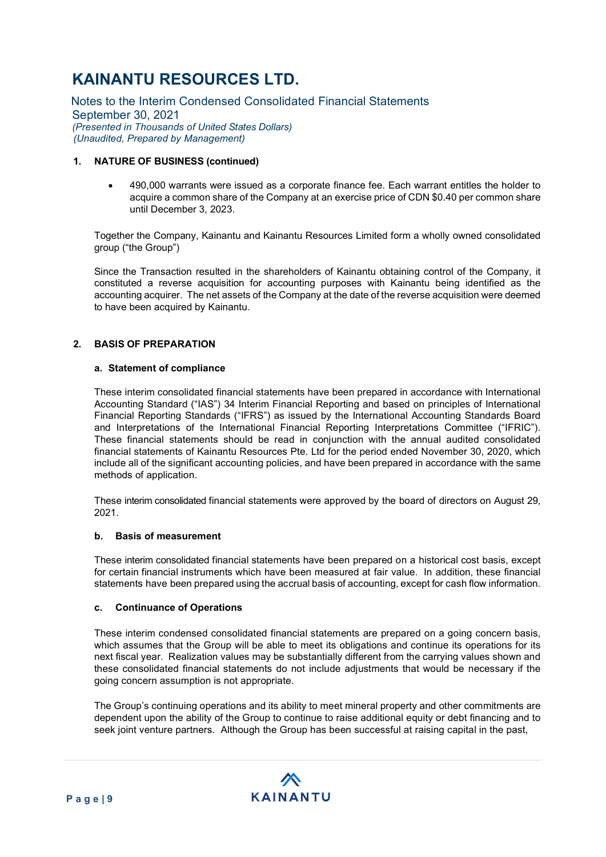Notes to the Interim Condensed Consolidated Financial Statements September 30, 2021 (Presented in Thousands of United States Dollars) (Unaudited, Prepared by Management)

### 1. NATURE OF BUSINESS (continued)

 490,000 warrants were issued as a corporate finance fee. Each warrant entitles the holder to acquire a common share of the Company at an exercise price of CDN \$0.40 per common share until December 3, 2023.

Together the Company, Kainantu and Kainantu Resources Limited form a wholly owned consolidated group ("the Group")

Since the Transaction resulted in the shareholders of Kainantu obtaining control of the Company, it constituted a reverse acquisition for accounting purposes with Kainantu being identified as the accounting acquirer. The net assets of the Company at the date of the reverse acquisition were deemed to have been acquired by Kainantu.

### 2. BASIS OF PREPARATION

#### a. Statement of compliance

These interim consolidated financial statements have been prepared in accordance with International Accounting Standard ("IAS") 34 Interim Financial Reporting and based on principles of International Financial Reporting Standards ("IFRS") as issued by the International Accounting Standards Board and Interpretations of the International Financial Reporting Interpretations Committee ("IFRIC"). These financial statements should be read in conjunction with the annual audited consolidated financial statements of Kainantu Resources Pte. Ltd for the period ended November 30, 2020, which include all of the significant accounting policies, and have been prepared in accordance with the same methods of application.

These interim consolidated financial statements were approved by the board of directors on August 29, 2021.

#### b. Basis of measurement

These interim consolidated financial statements have been prepared on a historical cost basis, except for certain financial instruments which have been measured at fair value. In addition, these financial statements have been prepared using the accrual basis of accounting, except for cash flow information.

#### c. Continuance of Operations

These interim condensed consolidated financial statements are prepared on a going concern basis, which assumes that the Group will be able to meet its obligations and continue its operations for its next fiscal year. Realization values may be substantially different from the carrying values shown and these consolidated financial statements do not include adjustments that would be necessary if the going concern assumption is not appropriate.

The Group's continuing operations and its ability to meet mineral property and other commitments are dependent upon the ability of the Group to continue to raise additional equity or debt financing and to seek joint venture partners. Although the Group has been successful at raising capital in the past,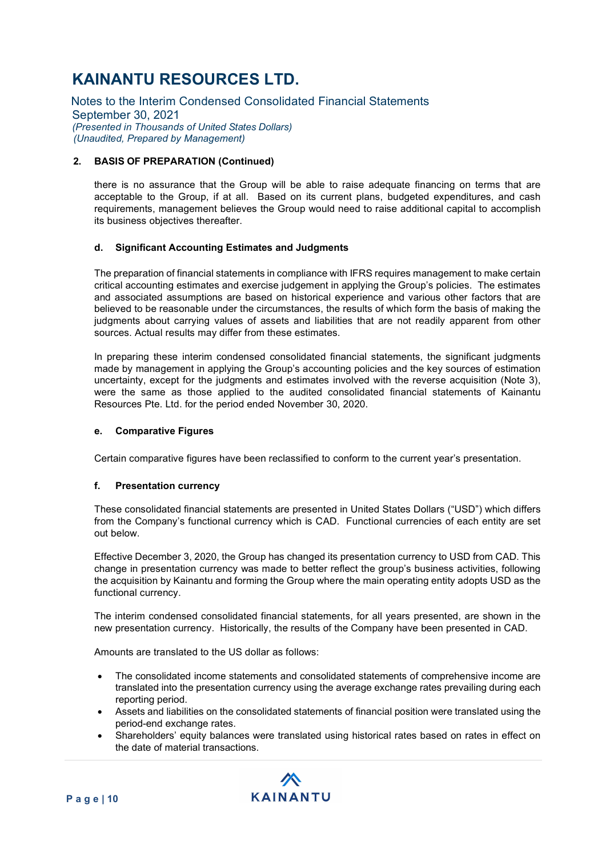Notes to the Interim Condensed Consolidated Financial Statements September 30, 2021 (Presented in Thousands of United States Dollars) (Unaudited, Prepared by Management)

### 2. BASIS OF PREPARATION (Continued)

there is no assurance that the Group will be able to raise adequate financing on terms that are acceptable to the Group, if at all. Based on its current plans, budgeted expenditures, and cash requirements, management believes the Group would need to raise additional capital to accomplish its business objectives thereafter.

### d. Significant Accounting Estimates and Judgments

The preparation of financial statements in compliance with IFRS requires management to make certain critical accounting estimates and exercise judgement in applying the Group's policies. The estimates and associated assumptions are based on historical experience and various other factors that are believed to be reasonable under the circumstances, the results of which form the basis of making the judgments about carrying values of assets and liabilities that are not readily apparent from other sources. Actual results may differ from these estimates.

In preparing these interim condensed consolidated financial statements, the significant judgments made by management in applying the Group's accounting policies and the key sources of estimation uncertainty, except for the judgments and estimates involved with the reverse acquisition (Note 3), were the same as those applied to the audited consolidated financial statements of Kainantu Resources Pte. Ltd. for the period ended November 30, 2020.

#### e. Comparative Figures

Certain comparative figures have been reclassified to conform to the current year's presentation.

#### f. Presentation currency

These consolidated financial statements are presented in United States Dollars ("USD") which differs from the Company's functional currency which is CAD. Functional currencies of each entity are set out below.

Effective December 3, 2020, the Group has changed its presentation currency to USD from CAD. This change in presentation currency was made to better reflect the group's business activities, following the acquisition by Kainantu and forming the Group where the main operating entity adopts USD as the functional currency.

The interim condensed consolidated financial statements, for all years presented, are shown in the new presentation currency. Historically, the results of the Company have been presented in CAD.

Amounts are translated to the US dollar as follows:

- The consolidated income statements and consolidated statements of comprehensive income are translated into the presentation currency using the average exchange rates prevailing during each reporting period.
- Assets and liabilities on the consolidated statements of financial position were translated using the period-end exchange rates.
- Shareholders' equity balances were translated using historical rates based on rates in effect on the date of material transactions.

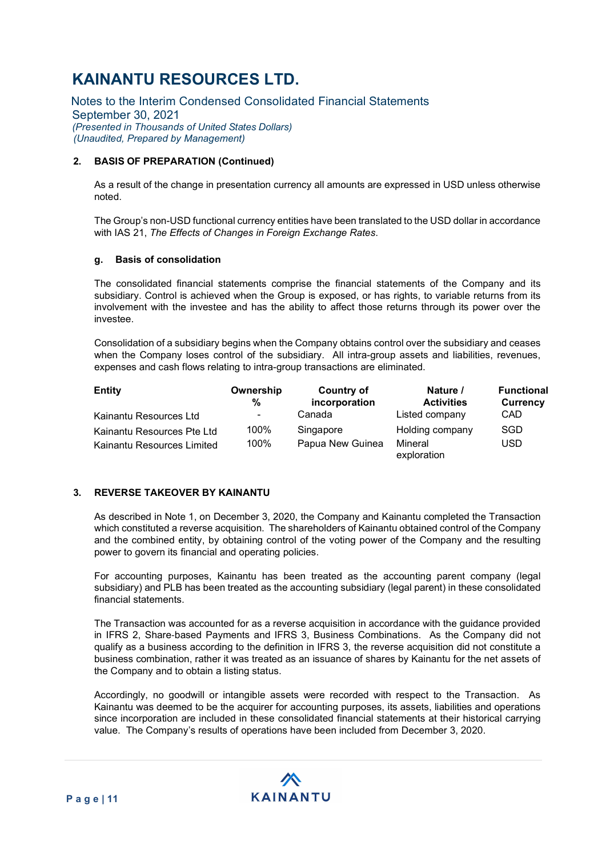Notes to the Interim Condensed Consolidated Financial Statements September 30, 2021 (Presented in Thousands of United States Dollars) (Unaudited, Prepared by Management)

### 2. BASIS OF PREPARATION (Continued)

As a result of the change in presentation currency all amounts are expressed in USD unless otherwise noted.

The Group's non-USD functional currency entities have been translated to the USD dollar in accordance with IAS 21, The Effects of Changes in Foreign Exchange Rates.

#### g. Basis of consolidation

The consolidated financial statements comprise the financial statements of the Company and its subsidiary. Control is achieved when the Group is exposed, or has rights, to variable returns from its involvement with the investee and has the ability to affect those returns through its power over the investee.

Consolidation of a subsidiary begins when the Company obtains control over the subsidiary and ceases when the Company loses control of the subsidiary. All intra-group assets and liabilities, revenues, expenses and cash flows relating to intra-group transactions are eliminated.

| <b>Entity</b>              | Ownership<br>% | <b>Country of</b><br>incorporation | Nature /<br><b>Activities</b> | <b>Functional</b><br><b>Currency</b> |
|----------------------------|----------------|------------------------------------|-------------------------------|--------------------------------------|
| Kainantu Resources Ltd     | ۰.             | Canada                             | Listed company                | <b>CAD</b>                           |
| Kainantu Resources Pte Ltd | 100%           | Singapore                          | Holding company               | SGD                                  |
| Kainantu Resources Limited | 100%           | Papua New Guinea                   | Mineral<br>exploration        | <b>USD</b>                           |

### 3. REVERSE TAKEOVER BY KAINANTU

As described in Note 1, on December 3, 2020, the Company and Kainantu completed the Transaction which constituted a reverse acquisition. The shareholders of Kainantu obtained control of the Company and the combined entity, by obtaining control of the voting power of the Company and the resulting power to govern its financial and operating policies.

For accounting purposes, Kainantu has been treated as the accounting parent company (legal subsidiary) and PLB has been treated as the accounting subsidiary (legal parent) in these consolidated financial statements.

The Transaction was accounted for as a reverse acquisition in accordance with the guidance provided in IFRS 2, Share‐based Payments and IFRS 3, Business Combinations. As the Company did not qualify as a business according to the definition in IFRS 3, the reverse acquisition did not constitute a business combination, rather it was treated as an issuance of shares by Kainantu for the net assets of the Company and to obtain a listing status.

Accordingly, no goodwill or intangible assets were recorded with respect to the Transaction. As Kainantu was deemed to be the acquirer for accounting purposes, its assets, liabilities and operations since incorporation are included in these consolidated financial statements at their historical carrying value. The Company's results of operations have been included from December 3, 2020.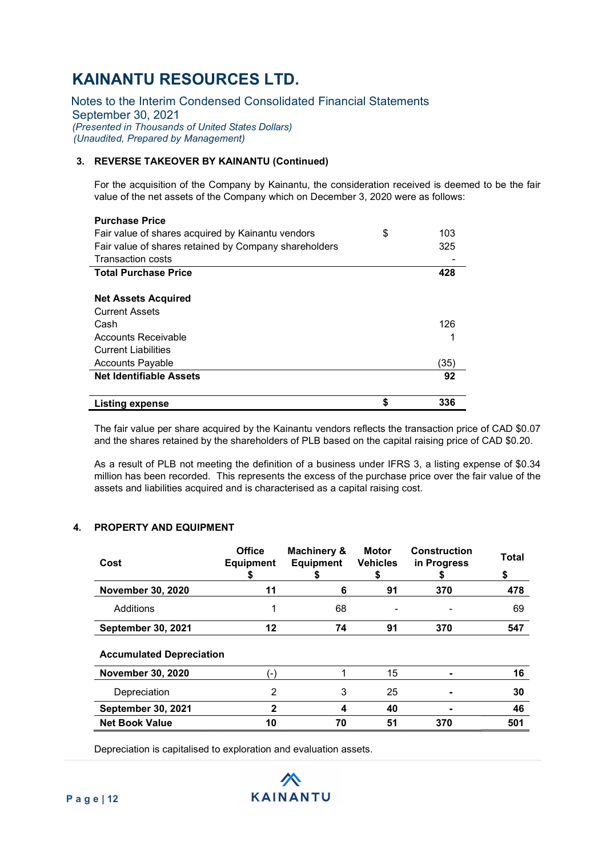Notes to the Interim Condensed Consolidated Financial Statements September 30, 2021 (Presented in Thousands of United States Dollars) (Unaudited, Prepared by Management)

### 3. REVERSE TAKEOVER BY KAINANTU (Continued)

For the acquisition of the Company by Kainantu, the consideration received is deemed to be the fair value of the net assets of the Company which on December 3, 2020 were as follows:

| <b>Purchase Price</b>                                 |           |
|-------------------------------------------------------|-----------|
| Fair value of shares acquired by Kainantu vendors     | \$<br>103 |
| Fair value of shares retained by Company shareholders | 325       |
| <b>Transaction costs</b>                              |           |
| <b>Total Purchase Price</b>                           | 428       |
|                                                       |           |
| <b>Net Assets Acquired</b>                            |           |
| <b>Current Assets</b>                                 |           |
| Cash                                                  | 126       |
| Accounts Receivable                                   |           |
| <b>Current Liabilities</b>                            |           |
| <b>Accounts Payable</b>                               | (35)      |
| <b>Net Identifiable Assets</b>                        | 92        |
|                                                       |           |
| <b>Listing expense</b>                                | \$<br>336 |

The fair value per share acquired by the Kainantu vendors reflects the transaction price of CAD \$0.07 and the shares retained by the shareholders of PLB based on the capital raising price of CAD \$0.20.

As a result of PLB not meeting the definition of a business under IFRS 3, a listing expense of \$0.34 million has been recorded. This represents the excess of the purchase price over the fair value of the assets and liabilities acquired and is characterised as a capital raising cost.

### 4. PROPERTY AND EQUIPMENT

| Cost                            | <b>Office</b><br><b>Equipment</b><br>\$ | Machinery &<br><b>Equipment</b><br>Ъ | <b>Motor</b><br><b>Vehicles</b><br>\$ | <b>Construction</b><br>in Progress<br>ъ | <b>Total</b><br>\$ |
|---------------------------------|-----------------------------------------|--------------------------------------|---------------------------------------|-----------------------------------------|--------------------|
| <b>November 30, 2020</b>        | 11                                      | 6                                    | 91                                    | 370                                     | 478                |
| Additions                       | 1                                       | 68                                   |                                       |                                         | 69                 |
| <b>September 30, 2021</b>       | 12                                      | 74                                   | 91                                    | 370                                     | 547                |
| <b>Accumulated Depreciation</b> |                                         |                                      |                                       |                                         |                    |
| <b>November 30, 2020</b>        | $(-)$                                   |                                      | 15                                    |                                         | 16                 |
| Depreciation                    | 2                                       | 3                                    | 25                                    |                                         | 30                 |
| <b>September 30, 2021</b>       | $\mathbf{2}$                            | 4                                    | 40                                    |                                         | 46                 |
| <b>Net Book Value</b>           | 10                                      | 70                                   | 51                                    | 370                                     | 501                |

Depreciation is capitalised to exploration and evaluation assets.

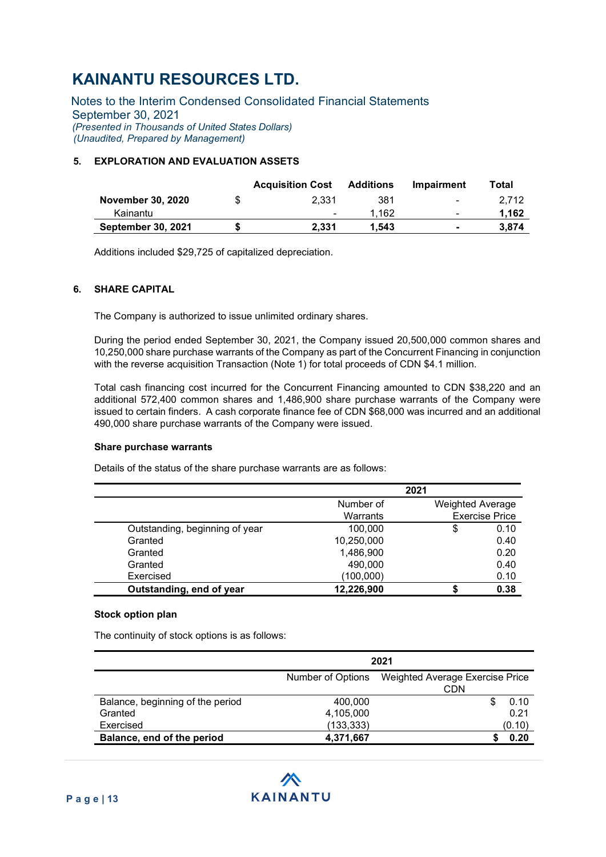Notes to the Interim Condensed Consolidated Financial Statements September 30, 2021 (Presented in Thousands of United States Dollars) (Unaudited, Prepared by Management)

### 5. EXPLORATION AND EVALUATION ASSETS

|                           | <b>Acquisition Cost</b> | Additions | Impairment               | Total |
|---------------------------|-------------------------|-----------|--------------------------|-------|
| <b>November 30, 2020</b>  | 2.331                   | 381       | $\overline{\phantom{a}}$ | 2.712 |
| Kainantu                  | ٠                       | 1.162     | $\overline{\phantom{a}}$ | 1.162 |
| <b>September 30, 2021</b> | 2.331                   | 1.543     | $\blacksquare$           | 3.874 |

Additions included \$29,725 of capitalized depreciation.

### 6. SHARE CAPITAL

The Company is authorized to issue unlimited ordinary shares.

During the period ended September 30, 2021, the Company issued 20,500,000 common shares and 10,250,000 share purchase warrants of the Company as part of the Concurrent Financing in conjunction with the reverse acquisition Transaction (Note 1) for total proceeds of CDN \$4.1 million.

Total cash financing cost incurred for the Concurrent Financing amounted to CDN \$38,220 and an additional 572,400 common shares and 1,486,900 share purchase warrants of the Company were issued to certain finders. A cash corporate finance fee of CDN \$68,000 was incurred and an additional 490,000 share purchase warrants of the Company were issued.

#### Share purchase warrants

Details of the status of the share purchase warrants are as follows:

|                                |            | 2021                    |                       |
|--------------------------------|------------|-------------------------|-----------------------|
|                                | Number of  | <b>Weighted Average</b> |                       |
|                                | Warrants   |                         | <b>Exercise Price</b> |
| Outstanding, beginning of year | 100.000    | S                       | 0.10                  |
| Granted                        | 10,250,000 |                         | 0.40                  |
| Granted                        | 1,486,900  |                         | 0.20                  |
| Granted                        | 490,000    |                         | 0.40                  |
| Exercised                      | (100,000)  |                         | 0.10                  |
| Outstanding, end of year       | 12,226,900 |                         | 0.38                  |

#### Stock option plan

The continuity of stock options is as follows:

|                                  | 2021              |                                        |  |  |  |
|----------------------------------|-------------------|----------------------------------------|--|--|--|
|                                  | Number of Options | Weighted Average Exercise Price<br>CDN |  |  |  |
| Balance, beginning of the period | 400,000           | 0.10                                   |  |  |  |
| Granted                          | 4,105,000         | 0.21                                   |  |  |  |
| Exercised                        | (133, 333)        | (0.10)                                 |  |  |  |
| Balance, end of the period       | 4,371,667         | 0.20                                   |  |  |  |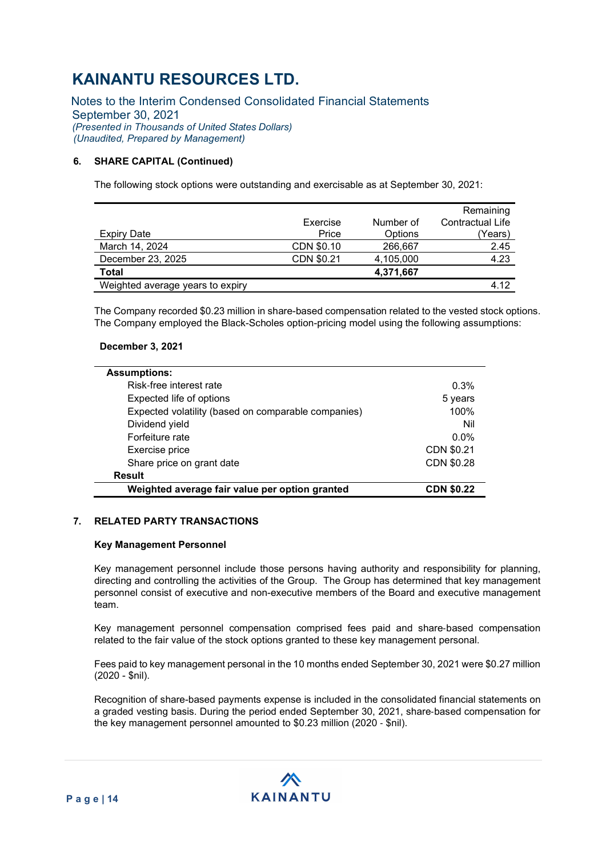Notes to the Interim Condensed Consolidated Financial Statements September 30, 2021 (Presented in Thousands of United States Dollars) (Unaudited, Prepared by Management)

### 6. SHARE CAPITAL (Continued)

The following stock options were outstanding and exercisable as at September 30, 2021:

|                                  |            |           | Remaining        |
|----------------------------------|------------|-----------|------------------|
|                                  | Exercise   | Number of | Contractual Life |
| <b>Expiry Date</b>               | Price      | Options   | (Years)          |
| March 14, 2024                   | CDN \$0.10 | 266,667   | 2.45             |
| December 23, 2025                | CDN \$0.21 | 4,105,000 | 4.23             |
| <b>Total</b>                     |            | 4,371,667 |                  |
| Weighted average years to expiry |            |           | 4.12             |

The Company recorded \$0.23 million in share-based compensation related to the vested stock options. The Company employed the Black-Scholes option-pricing model using the following assumptions:

### December 3, 2021

| <b>Assumptions:</b>                                 |                   |
|-----------------------------------------------------|-------------------|
| Risk-free interest rate                             | 0.3%              |
|                                                     |                   |
| Expected life of options                            | 5 years           |
| Expected volatility (based on comparable companies) | 100%              |
| Dividend yield                                      | Nil               |
| Forfeiture rate                                     | $0.0\%$           |
| Exercise price                                      | CDN \$0.21        |
| Share price on grant date                           | CDN \$0.28        |
| <b>Result</b>                                       |                   |
| Weighted average fair value per option granted      | <b>CDN \$0.22</b> |

### 7. RELATED PARTY TRANSACTIONS

#### Key Management Personnel

Key management personnel include those persons having authority and responsibility for planning, directing and controlling the activities of the Group. The Group has determined that key management personnel consist of executive and non-executive members of the Board and executive management team.

Key management personnel compensation comprised fees paid and share‐based compensation related to the fair value of the stock options granted to these key management personal.

Fees paid to key management personal in the 10 months ended September 30, 2021 were \$0.27 million (2020 - \$nil).

Recognition of share-based payments expense is included in the consolidated financial statements on a graded vesting basis. During the period ended September 30, 2021, share‐based compensation for the key management personnel amounted to \$0.23 million (2020 ‐ \$nil).